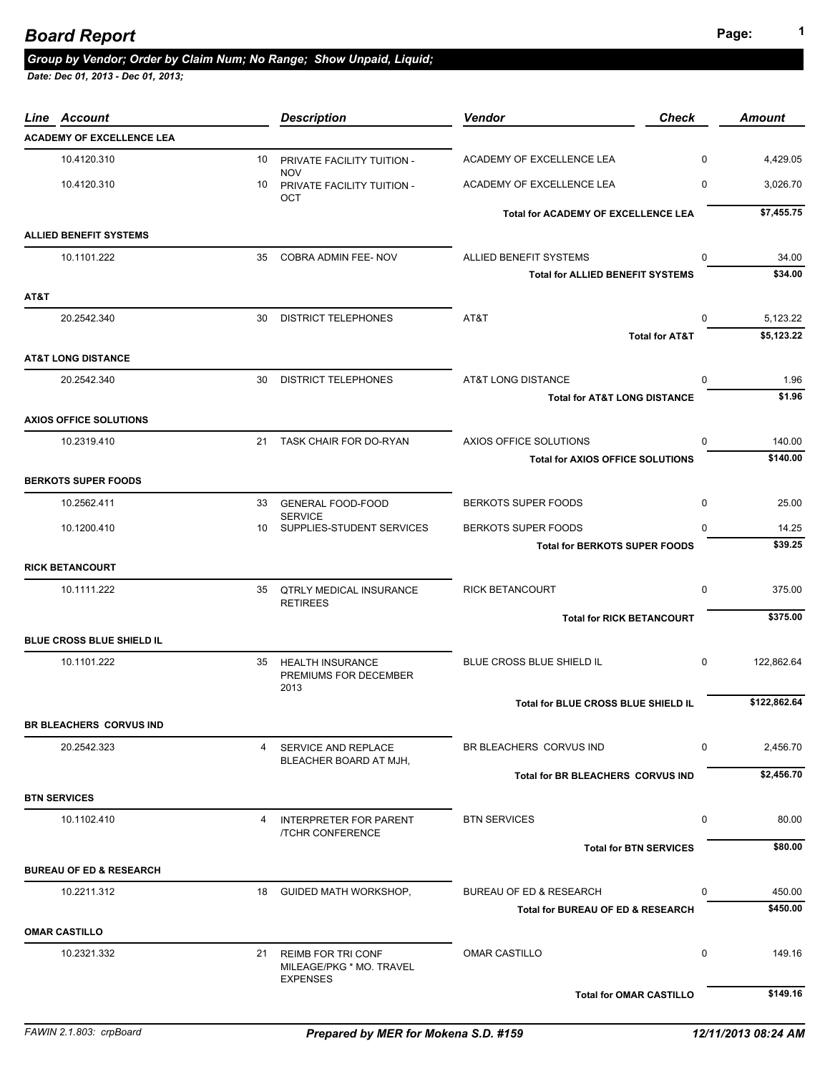# **Page: <sup>1</sup>** *Board Report*

## *Group by Vendor; Order by Claim Num; No Range; Show Unpaid, Liquid;*

| Line Account                       |    | <b>Description</b>                                                       | <b>Vendor</b>                                | <b>Check</b> | <b>Amount</b> |
|------------------------------------|----|--------------------------------------------------------------------------|----------------------------------------------|--------------|---------------|
| <b>ACADEMY OF EXCELLENCE LEA</b>   |    |                                                                          |                                              |              |               |
| 10.4120.310                        | 10 | PRIVATE FACILITY TUITION -                                               | ACADEMY OF EXCELLENCE LEA                    | $\mathbf 0$  | 4,429.05      |
| 10.4120.310                        | 10 | <b>NOV</b><br>PRIVATE FACILITY TUITION -<br>OCT                          | ACADEMY OF EXCELLENCE LEA                    | $\mathbf 0$  | 3,026.70      |
|                                    |    |                                                                          | Total for ACADEMY OF EXCELLENCE LEA          |              | \$7,455.75    |
| <b>ALLIED BENEFIT SYSTEMS</b>      |    |                                                                          |                                              |              |               |
| 10.1101.222                        | 35 | COBRA ADMIN FEE- NOV                                                     | ALLIED BENEFIT SYSTEMS                       | $\mathbf 0$  | 34.00         |
|                                    |    |                                                                          | <b>Total for ALLIED BENEFIT SYSTEMS</b>      |              | \$34.00       |
| AT&T                               |    |                                                                          |                                              |              |               |
| 20.2542.340                        | 30 | <b>DISTRICT TELEPHONES</b>                                               | AT&T                                         | $\Omega$     | 5,123.22      |
|                                    |    |                                                                          | <b>Total for AT&amp;T</b>                    |              | \$5,123.22    |
| <b>AT&amp;T LONG DISTANCE</b>      |    |                                                                          |                                              |              |               |
| 20.2542.340                        | 30 | <b>DISTRICT TELEPHONES</b>                                               | AT&T LONG DISTANCE                           | 0            | 1.96          |
|                                    |    |                                                                          | <b>Total for AT&amp;T LONG DISTANCE</b>      |              | \$1.96        |
| <b>AXIOS OFFICE SOLUTIONS</b>      |    |                                                                          |                                              |              |               |
| 10.2319.410                        |    | 21 TASK CHAIR FOR DO-RYAN                                                | AXIOS OFFICE SOLUTIONS                       | 0            | 140.00        |
|                                    |    |                                                                          | <b>Total for AXIOS OFFICE SOLUTIONS</b>      |              | \$140.00      |
| <b>BERKOTS SUPER FOODS</b>         |    |                                                                          |                                              |              |               |
| 10.2562.411                        | 33 | <b>GENERAL FOOD-FOOD</b><br><b>SERVICE</b>                               | <b>BERKOTS SUPER FOODS</b>                   | 0            | 25.00         |
| 10.1200.410                        | 10 | SUPPLIES-STUDENT SERVICES                                                | BERKOTS SUPER FOODS                          | $\Omega$     | 14.25         |
|                                    |    |                                                                          | <b>Total for BERKOTS SUPER FOODS</b>         |              | \$39.25       |
| <b>RICK BETANCOURT</b>             |    |                                                                          |                                              |              |               |
| 10.1111.222                        | 35 | QTRLY MEDICAL INSURANCE<br><b>RETIREES</b>                               | <b>RICK BETANCOURT</b>                       | $\mathbf 0$  | 375.00        |
|                                    |    |                                                                          | <b>Total for RICK BETANCOURT</b>             |              | \$375.00      |
| <b>BLUE CROSS BLUE SHIELD IL</b>   |    |                                                                          |                                              |              |               |
| 10.1101.222                        | 35 | <b>HEALTH INSURANCE</b><br>PREMIUMS FOR DECEMBER<br>2013                 | BLUE CROSS BLUE SHIELD IL                    | $\mathbf 0$  | 122,862.64    |
|                                    |    |                                                                          | Total for BLUE CROSS BLUE SHIELD IL          |              | \$122,862.64  |
| <b>BR BLEACHERS CORVUS IND</b>     |    |                                                                          |                                              |              |               |
| 20.2542.323                        | 4  | SERVICE AND REPLACE<br>BLEACHER BOARD AT MJH,                            | BR BLEACHERS CORVUS IND                      | 0            | 2,456.70      |
|                                    |    |                                                                          | Total for BR BLEACHERS CORVUS IND            |              | \$2,456.70    |
| <b>BTN SERVICES</b>                |    |                                                                          |                                              |              |               |
| 10.1102.410                        | 4  | <b>INTERPRETER FOR PARENT</b><br><b>/TCHR CONFERENCE</b>                 | <b>BTN SERVICES</b>                          | 0            | 80.00         |
|                                    |    |                                                                          | <b>Total for BTN SERVICES</b>                |              | \$80.00       |
| <b>BUREAU OF ED &amp; RESEARCH</b> |    |                                                                          |                                              |              |               |
| 10.2211.312                        | 18 | <b>GUIDED MATH WORKSHOP,</b>                                             | <b>BUREAU OF ED &amp; RESEARCH</b>           | 0            | 450.00        |
|                                    |    |                                                                          | <b>Total for BUREAU OF ED &amp; RESEARCH</b> |              | \$450.00      |
| <b>OMAR CASTILLO</b>               |    |                                                                          |                                              |              |               |
| 10.2321.332                        | 21 | <b>REIMB FOR TRI CONF</b><br>MILEAGE/PKG * MO. TRAVEL<br><b>EXPENSES</b> | <b>OMAR CASTILLO</b>                         | 0            | 149.16        |
|                                    |    |                                                                          | <b>Total for OMAR CASTILLO</b>               |              | \$149.16      |
|                                    |    |                                                                          |                                              |              |               |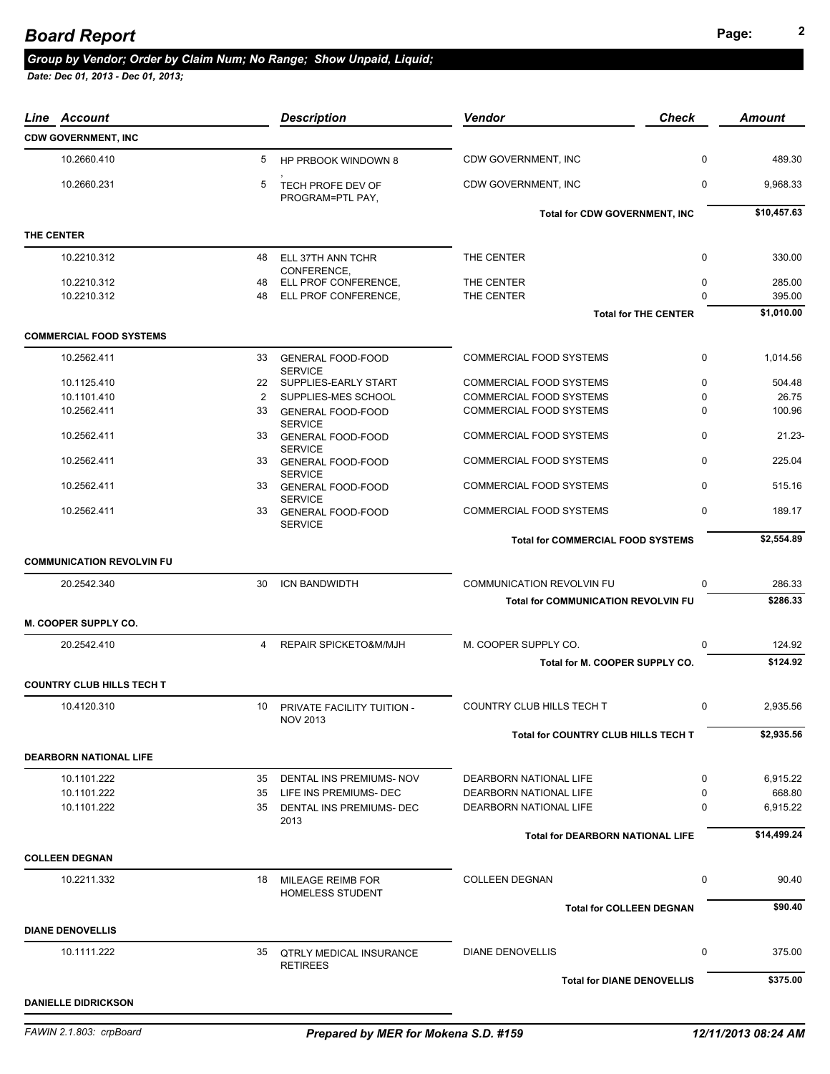# **Page: <sup>2</sup>** *Board Report*

#### *Group by Vendor; Order by Claim Num; No Range; Show Unpaid, Liquid;*

| Account<br>Line                  |    | <b>Description</b>                            | <b>Vendor</b>                              | <b>Check</b>                | Amount      |
|----------------------------------|----|-----------------------------------------------|--------------------------------------------|-----------------------------|-------------|
| <b>CDW GOVERNMENT, INC</b>       |    |                                               |                                            |                             |             |
| 10.2660.410                      | 5  | HP PRBOOK WINDOWN 8                           | CDW GOVERNMENT, INC                        | 0                           | 489.30      |
| 10.2660.231                      | 5  | TECH PROFE DEV OF<br>PROGRAM=PTL PAY,         | CDW GOVERNMENT, INC                        | 0                           | 9,968.33    |
|                                  |    |                                               | <b>Total for CDW GOVERNMENT, INC</b>       |                             | \$10,457.63 |
| THE CENTER                       |    |                                               |                                            |                             |             |
| 10.2210.312                      | 48 | ELL 37TH ANN TCHR<br>CONFERENCE.              | THE CENTER                                 | 0                           | 330.00      |
| 10.2210.312                      | 48 | ELL PROF CONFERENCE,                          | THE CENTER                                 | 0                           | 285.00      |
| 10.2210.312                      | 48 | ELL PROF CONFERENCE.                          | THE CENTER                                 | $\Omega$                    | 395.00      |
|                                  |    |                                               |                                            | <b>Total for THE CENTER</b> | \$1,010.00  |
| <b>COMMERCIAL FOOD SYSTEMS</b>   |    |                                               |                                            |                             |             |
| 10.2562.411                      | 33 | <b>GENERAL FOOD-FOOD</b><br><b>SERVICE</b>    | <b>COMMERCIAL FOOD SYSTEMS</b>             | 0                           | 1,014.56    |
| 10.1125.410                      |    | 22 SUPPLIES-EARLY START                       | COMMERCIAL FOOD SYSTEMS                    | 0                           | 504.48      |
| 10.1101.410                      | 2  | SUPPLIES-MES SCHOOL                           | <b>COMMERCIAL FOOD SYSTEMS</b>             | 0                           | 26.75       |
| 10.2562.411                      | 33 | <b>GENERAL FOOD-FOOD</b><br><b>SERVICE</b>    | <b>COMMERCIAL FOOD SYSTEMS</b>             | $\Omega$                    | 100.96      |
| 10.2562.411                      | 33 | <b>GENERAL FOOD-FOOD</b><br><b>SERVICE</b>    | COMMERCIAL FOOD SYSTEMS                    | 0                           | $21.23 -$   |
| 10.2562.411                      | 33 | <b>GENERAL FOOD-FOOD</b><br><b>SERVICE</b>    | COMMERCIAL FOOD SYSTEMS                    | 0                           | 225.04      |
| 10.2562.411                      | 33 | <b>GENERAL FOOD-FOOD</b>                      | <b>COMMERCIAL FOOD SYSTEMS</b>             | 0                           | 515.16      |
| 10.2562.411                      | 33 | <b>SERVICE</b><br><b>GENERAL FOOD-FOOD</b>    | COMMERCIAL FOOD SYSTEMS                    | 0                           | 189.17      |
|                                  |    | <b>SERVICE</b>                                |                                            |                             | \$2,554.89  |
|                                  |    |                                               | <b>Total for COMMERCIAL FOOD SYSTEMS</b>   |                             |             |
| <b>COMMUNICATION REVOLVIN FU</b> |    |                                               |                                            |                             |             |
| 20.2542.340                      | 30 | <b>ICN BANDWIDTH</b>                          | <b>COMMUNICATION REVOLVIN FU</b>           | 0                           | 286.33      |
|                                  |    |                                               | <b>Total for COMMUNICATION REVOLVIN FU</b> |                             | \$286.33    |
| M. COOPER SUPPLY CO.             |    |                                               |                                            |                             |             |
| 20.2542.410                      | 4  | REPAIR SPICKETO&M/MJH                         | M. COOPER SUPPLY CO.                       | $\Omega$                    | 124.92      |
|                                  |    |                                               | Total for M. COOPER SUPPLY CO.             |                             | \$124.92    |
| <b>COUNTRY CLUB HILLS TECH T</b> |    |                                               |                                            |                             |             |
| 10.4120.310                      | 10 | PRIVATE FACILITY TUITION -<br><b>NOV 2013</b> | COUNTRY CLUB HILLS TECH T                  | $\mathbf 0$                 | 2,935.56    |
|                                  |    |                                               | Total for COUNTRY CLUB HILLS TECH T        |                             | \$2,935.56  |
| <b>DEARBORN NATIONAL LIFE</b>    |    |                                               |                                            |                             |             |
| 10.1101.222                      |    | 35 DENTAL INS PREMIUMS- NOV                   | DEARBORN NATIONAL LIFE                     | 0                           | 6,915.22    |
| 10.1101.222                      | 35 | LIFE INS PREMIUMS- DEC                        | DEARBORN NATIONAL LIFE                     | 0                           | 668.80      |
| 10.1101.222                      | 35 | DENTAL INS PREMIUMS- DEC                      | DEARBORN NATIONAL LIFE                     | 0                           | 6,915.22    |
|                                  |    | 2013                                          |                                            |                             |             |
|                                  |    |                                               | <b>Total for DEARBORN NATIONAL LIFE</b>    |                             | \$14,499.24 |
| <b>COLLEEN DEGNAN</b>            |    |                                               |                                            |                             |             |
| 10.2211.332                      | 18 | MILEAGE REIMB FOR<br><b>HOMELESS STUDENT</b>  | <b>COLLEEN DEGNAN</b>                      | 0                           | 90.40       |
|                                  |    |                                               | <b>Total for COLLEEN DEGNAN</b>            |                             | \$90.40     |
| <b>DIANE DENOVELLIS</b>          |    |                                               |                                            |                             |             |
| 10.1111.222                      | 35 | <b>QTRLY MEDICAL INSURANCE</b>                | <b>DIANE DENOVELLIS</b>                    | 0                           | 375.00      |
|                                  |    | <b>RETIREES</b>                               | <b>Total for DIANE DENOVELLIS</b>          |                             | \$375.00    |
|                                  |    |                                               |                                            |                             |             |
| <b>DANIELLE DIDRICKSON</b>       |    |                                               |                                            |                             |             |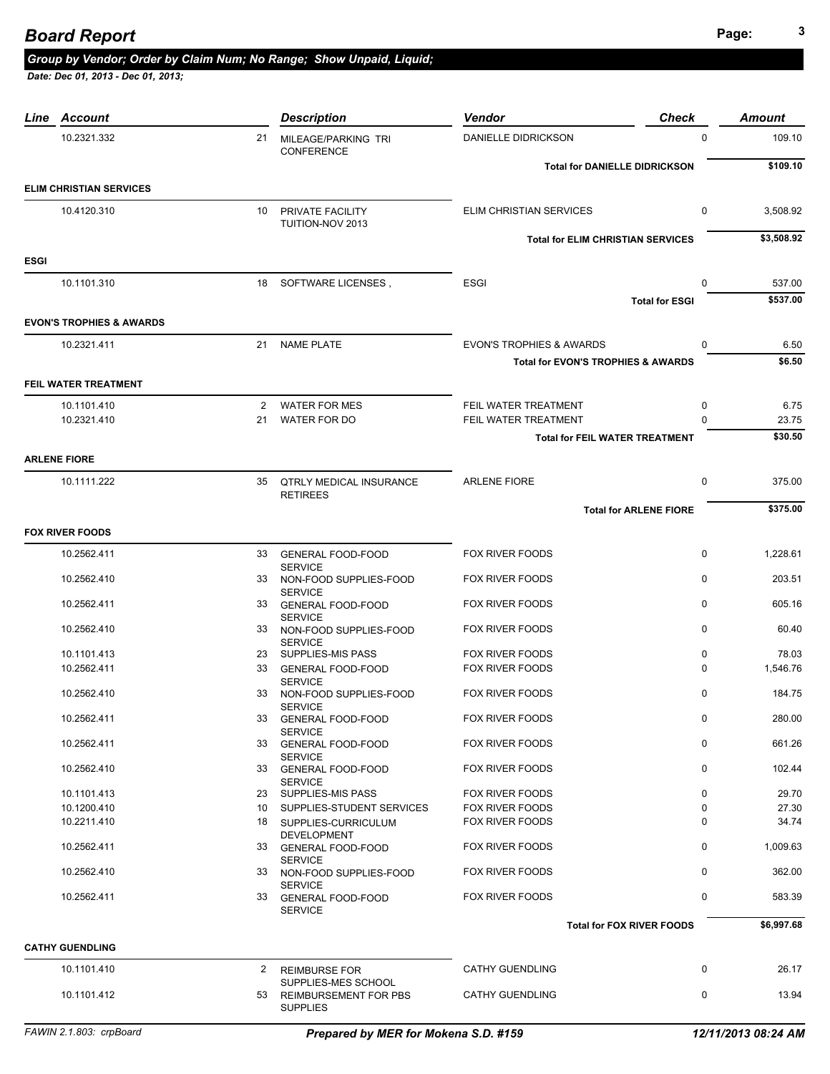# **Page: <sup>3</sup>** *Board Report*

### *Group by Vendor; Order by Claim Num; No Range; Show Unpaid, Liquid;*

| 10.2321.332<br>21                   |                                                            |                                               |                       |            |
|-------------------------------------|------------------------------------------------------------|-----------------------------------------------|-----------------------|------------|
|                                     | MILEAGE/PARKING TRI<br>CONFERENCE                          | DANIELLE DIDRICKSON                           | $\mathbf 0$           | 109.10     |
|                                     |                                                            | <b>Total for DANIELLE DIDRICKSON</b>          |                       | \$109.10   |
| <b>ELIM CHRISTIAN SERVICES</b>      |                                                            |                                               |                       |            |
| 10.4120.310<br>10                   | PRIVATE FACILITY<br>TUITION-NOV 2013                       | <b>ELIM CHRISTIAN SERVICES</b>                | $\mathbf 0$           | 3,508.92   |
|                                     |                                                            | <b>Total for ELIM CHRISTIAN SERVICES</b>      |                       | \$3,508.92 |
| <b>ESGI</b>                         |                                                            |                                               |                       |            |
| 10.1101.310                         | 18 SOFTWARE LICENSES,                                      | <b>ESGI</b>                                   | 0                     | 537.00     |
|                                     |                                                            |                                               | <b>Total for ESGI</b> | \$537.00   |
| <b>EVON'S TROPHIES &amp; AWARDS</b> |                                                            |                                               |                       |            |
| 10.2321.411<br>21                   | <b>NAME PLATE</b>                                          | <b>EVON'S TROPHIES &amp; AWARDS</b>           | 0                     | 6.50       |
|                                     |                                                            | <b>Total for EVON'S TROPHIES &amp; AWARDS</b> |                       | \$6.50     |
| FEIL WATER TREATMENT                |                                                            |                                               |                       |            |
| 10.1101.410                         | 2 WATER FOR MES                                            | FEIL WATER TREATMENT                          | 0                     | 6.75       |
| 10.2321.410<br>21                   | WATER FOR DO                                               | FEIL WATER TREATMENT                          | $\Omega$              | 23.75      |
|                                     |                                                            | <b>Total for FEIL WATER TREATMENT</b>         |                       | \$30.50    |
| <b>ARLENE FIORE</b>                 |                                                            |                                               |                       |            |
| 10.1111.222<br>35                   | <b>QTRLY MEDICAL INSURANCE</b><br><b>RETIREES</b>          | <b>ARLENE FIORE</b>                           | 0                     | 375.00     |
|                                     |                                                            | <b>Total for ARLENE FIORE</b>                 |                       | \$375.00   |
| <b>FOX RIVER FOODS</b>              |                                                            |                                               |                       |            |
| 10.2562.411<br>33                   | <b>GENERAL FOOD-FOOD</b>                                   | <b>FOX RIVER FOODS</b>                        | $\mathbf 0$           | 1,228.61   |
| 10.2562.410<br>33                   | <b>SERVICE</b><br>NON-FOOD SUPPLIES-FOOD                   | <b>FOX RIVER FOODS</b>                        | $\mathbf 0$           | 203.51     |
| 10.2562.411                         | <b>SERVICE</b><br>33 GENERAL FOOD-FOOD<br><b>SERVICE</b>   | <b>FOX RIVER FOODS</b>                        | $\Omega$              | 605.16     |
| 10.2562.410<br>33                   | NON-FOOD SUPPLIES-FOOD                                     | <b>FOX RIVER FOODS</b>                        | $\mathbf 0$           | 60.40      |
| 10.1101.413                         | <b>SERVICE</b><br>23 SUPPLIES-MIS PASS                     | <b>FOX RIVER FOODS</b>                        | $\mathbf 0$           | 78.03      |
| 10.2562.411<br>33                   | <b>GENERAL FOOD-FOOD</b>                                   | <b>FOX RIVER FOODS</b>                        | $\Omega$              | 1,546.76   |
| 10.2562.410<br>33                   | <b>SERVICE</b><br>NON-FOOD SUPPLIES-FOOD<br><b>SERVICE</b> | FOX RIVER FOODS                               | $\Omega$              | 184.75     |
| 10.2562.411<br>33                   | <b>GENERAL FOOD-FOOD</b>                                   | <b>FOX RIVER FOODS</b>                        | 0                     | 280.00     |
| 10.2562.411                         | <b>SERVICE</b><br>33 GENERAL FOOD-FOOD                     | <b>FOX RIVER FOODS</b>                        | 0                     | 661.26     |
| 10.2562.410                         | <b>SERVICE</b><br>33 GENERAL FOOD-FOOD<br><b>SERVICE</b>   | <b>FOX RIVER FOODS</b>                        | 0                     | 102.44     |
| 10.1101.413                         | 23 SUPPLIES-MIS PASS                                       | FOX RIVER FOODS                               | $\mathbf 0$           | 29.70      |
| 10.1200.410                         | 10 SUPPLIES-STUDENT SERVICES                               | FOX RIVER FOODS                               | $\Omega$              | 27.30      |
| 10.2211.410                         | 18 SUPPLIES-CURRICULUM<br><b>DEVELOPMENT</b>               | <b>FOX RIVER FOODS</b>                        | 0                     | 34.74      |
| 10.2562.411<br>33                   | <b>GENERAL FOOD-FOOD</b><br><b>SERVICE</b>                 | FOX RIVER FOODS                               | 0                     | 1,009.63   |
| 10.2562.410                         | 33 NON-FOOD SUPPLIES-FOOD<br><b>SERVICE</b>                | FOX RIVER FOODS                               | $\mathbf 0$           | 362.00     |
| 10.2562.411                         | 33 GENERAL FOOD-FOOD<br><b>SERVICE</b>                     | <b>FOX RIVER FOODS</b>                        | $\mathbf 0$           | 583.39     |
|                                     |                                                            | <b>Total for FOX RIVER FOODS</b>              |                       | \$6,997.68 |
| <b>CATHY GUENDLING</b>              |                                                            |                                               |                       |            |
| 10.1101.410<br>2                    | <b>REIMBURSE FOR</b><br>SUPPLIES-MES SCHOOL                | <b>CATHY GUENDLING</b>                        | $\mathbf 0$           | 26.17      |
| 10.1101.412<br>53                   | <b>REIMBURSEMENT FOR PBS</b><br><b>SUPPLIES</b>            | <b>CATHY GUENDLING</b>                        | $\mathbf 0$           | 13.94      |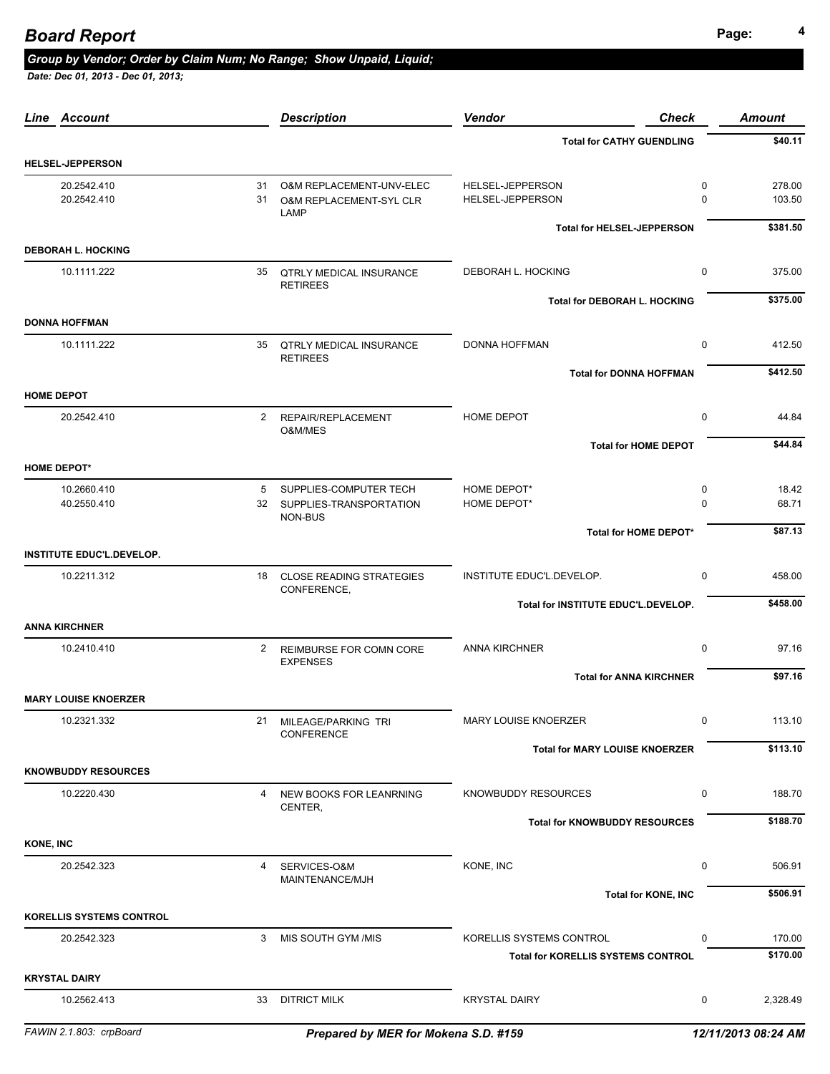## **Page: <sup>4</sup>** *Board Report*

#### *Group by Vendor; Order by Claim Num; No Range; Show Unpaid, Liquid;*

 *Date: Dec 01, 2013 - Dec 01, 2013;* 

| Line Account                              |              | <b>Description</b>                                     | <b>Vendor</b><br><b>Check</b>             |                             | <b>Amount</b>    |
|-------------------------------------------|--------------|--------------------------------------------------------|-------------------------------------------|-----------------------------|------------------|
|                                           |              |                                                        | <b>Total for CATHY GUENDLING</b>          |                             | \$40.11          |
| <b>HELSEL-JEPPERSON</b>                   |              |                                                        |                                           |                             |                  |
| 20.2542.410<br>20.2542.410                | 31           | 31 O&M REPLACEMENT-UNV-ELEC<br>O&M REPLACEMENT-SYL CLR | HELSEL-JEPPERSON<br>HELSEL-JEPPERSON      | $\mathbf 0$<br>$\mathbf{0}$ | 278.00<br>103.50 |
|                                           |              | LAMP                                                   | <b>Total for HELSEL-JEPPERSON</b>         |                             | \$381.50         |
| <b>DEBORAH L. HOCKING</b>                 |              |                                                        |                                           |                             |                  |
| 10.1111.222                               |              | 35 QTRLY MEDICAL INSURANCE<br><b>RETIREES</b>          | DEBORAH L. HOCKING                        | $\mathbf 0$                 | 375.00           |
| <b>DONNA HOFFMAN</b>                      |              |                                                        | Total for DEBORAH L. HOCKING              |                             | \$375.00         |
| 10.1111.222                               |              | 35 QTRLY MEDICAL INSURANCE<br><b>RETIREES</b>          | <b>DONNA HOFFMAN</b>                      | $\mathbf 0$                 | 412.50           |
|                                           |              |                                                        | <b>Total for DONNA HOFFMAN</b>            |                             | \$412.50         |
| <b>HOME DEPOT</b>                         |              |                                                        |                                           |                             |                  |
| 20.2542.410                               | 2            | REPAIR/REPLACEMENT<br>O&M/MES                          | HOME DEPOT                                | $\mathbf 0$                 | 44.84            |
|                                           |              |                                                        | <b>Total for HOME DEPOT</b>               |                             | \$44.84          |
| <b>HOME DEPOT*</b>                        |              |                                                        |                                           |                             |                  |
| 10.2660.410<br>40.2550.410                | 5            | SUPPLIES-COMPUTER TECH<br>32 SUPPLIES-TRANSPORTATION   | HOME DEPOT*<br>HOME DEPOT*                | 0<br>$\mathbf 0$            | 18.42<br>68.71   |
|                                           |              | NON-BUS                                                | Total for HOME DEPOT*                     |                             | \$87.13          |
| <b>INSTITUTE EDUC'L.DEVELOP.</b>          |              |                                                        |                                           |                             |                  |
| 10.2211.312                               |              | 18 CLOSE READING STRATEGIES<br>CONFERENCE,             | INSTITUTE EDUC'L.DEVELOP.                 | $\mathbf 0$                 | 458.00           |
|                                           |              |                                                        | Total for INSTITUTE EDUC'L.DEVELOP.       |                             | \$458.00         |
| <b>ANNA KIRCHNER</b>                      |              |                                                        |                                           |                             |                  |
| 10.2410.410                               | $\mathbf{2}$ | REIMBURSE FOR COMN CORE<br><b>EXPENSES</b>             | <b>ANNA KIRCHNER</b>                      | $\mathbf 0$                 | 97.16            |
|                                           |              |                                                        | <b>Total for ANNA KIRCHNER</b>            |                             | \$97.16          |
| <b>MARY LOUISE KNOERZER</b>               |              |                                                        |                                           |                             |                  |
| 10.2321.332                               |              | 21 MILEAGE/PARKING TRI<br>CONFERENCE                   | MARY LOUISE KNOERZER                      | $\Omega$                    | 113.10           |
|                                           |              |                                                        | <b>Total for MARY LOUISE KNOERZER</b>     |                             | \$113.10         |
| <b>KNOWBUDDY RESOURCES</b><br>10.2220.430 | 4            | NEW BOOKS FOR LEANRNING                                | KNOWBUDDY RESOURCES                       | 0                           | 188.70           |
|                                           |              | CENTER,                                                | <b>Total for KNOWBUDDY RESOURCES</b>      |                             | \$188.70         |
| <b>KONE, INC</b>                          |              |                                                        |                                           |                             |                  |
| 20.2542.323                               | 4            | SERVICES-O&M                                           | KONE, INC                                 | 0                           | 506.91           |
|                                           |              | MAINTENANCE/MJH                                        | <b>Total for KONE, INC</b>                |                             | \$506.91         |
| <b>KORELLIS SYSTEMS CONTROL</b>           |              |                                                        |                                           |                             |                  |
| 20.2542.323                               | 3            | MIS SOUTH GYM /MIS                                     | KORELLIS SYSTEMS CONTROL                  | 0                           | 170.00           |
|                                           |              |                                                        | <b>Total for KORELLIS SYSTEMS CONTROL</b> |                             | \$170.00         |
| <b>KRYSTAL DAIRY</b>                      |              |                                                        |                                           |                             |                  |
| 10.2562.413                               |              | 33 DITRICT MILK                                        | <b>KRYSTAL DAIRY</b>                      | 0                           | 2,328.49         |
|                                           |              |                                                        |                                           |                             |                  |

*FAWIN 2.1.803: crpBoard Prepared by MER for Mokena S.D. #159 12/11/2013 08:24 AM*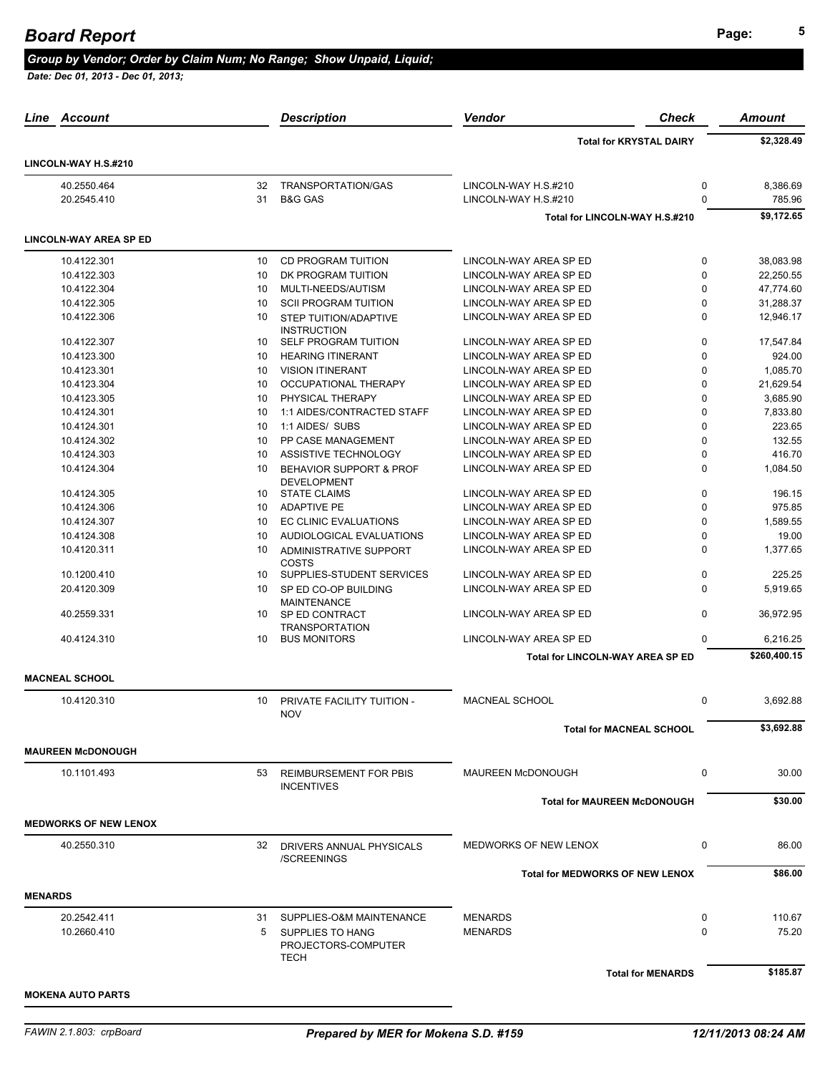## **Page: <sup>5</sup>** *Board Report*

#### *Group by Vendor; Order by Claim Num; No Range; Show Unpaid, Liquid;*

| Account<br>Line               |    | <b>Description</b>                                 | Vendor                                  | <b>Check</b>                   | Amount       |
|-------------------------------|----|----------------------------------------------------|-----------------------------------------|--------------------------------|--------------|
|                               |    |                                                    |                                         | <b>Total for KRYSTAL DAIRY</b> | \$2,328.49   |
| LINCOLN-WAY H.S.#210          |    |                                                    |                                         |                                |              |
| 40.2550.464                   | 32 | TRANSPORTATION/GAS                                 | LINCOLN-WAY H.S.#210                    | 0                              | 8,386.69     |
| 20.2545.410                   | 31 | <b>B&amp;G GAS</b>                                 | LINCOLN-WAY H.S.#210                    | $\Omega$                       | 785.96       |
|                               |    |                                                    | Total for LINCOLN-WAY H.S.#210          |                                | \$9,172.65   |
| <b>LINCOLN-WAY AREA SP ED</b> |    |                                                    |                                         |                                |              |
| 10.4122.301                   | 10 | CD PROGRAM TUITION                                 | LINCOLN-WAY AREA SP ED                  | $\mathbf 0$                    | 38,083.98    |
| 10.4122.303                   | 10 | DK PROGRAM TUITION                                 | LINCOLN-WAY AREA SP ED                  | $\mathbf 0$                    | 22,250.55    |
| 10.4122.304                   | 10 | MULTI-NEEDS/AUTISM                                 | LINCOLN-WAY AREA SP ED                  | $\mathbf 0$                    | 47,774.60    |
| 10.4122.305                   | 10 | <b>SCII PROGRAM TUITION</b>                        | LINCOLN-WAY AREA SP ED                  | 0                              | 31,288.37    |
| 10.4122.306                   | 10 | <b>STEP TUITION/ADAPTIVE</b><br><b>INSTRUCTION</b> | LINCOLN-WAY AREA SP ED                  | $\Omega$                       | 12,946.17    |
| 10.4122.307                   | 10 | <b>SELF PROGRAM TUITION</b>                        | LINCOLN-WAY AREA SP ED                  | $\mathbf 0$                    | 17,547.84    |
| 10.4123.300                   | 10 | <b>HEARING ITINERANT</b>                           | LINCOLN-WAY AREA SP ED                  | $\mathbf 0$                    | 924.00       |
| 10.4123.301                   | 10 | <b>VISION ITINERANT</b>                            | LINCOLN-WAY AREA SP ED                  | 0                              | 1,085.70     |
| 10.4123.304                   | 10 | OCCUPATIONAL THERAPY                               | LINCOLN-WAY AREA SP ED                  | 0                              | 21,629.54    |
| 10.4123.305                   | 10 | PHYSICAL THERAPY                                   | LINCOLN-WAY AREA SP ED                  | $\mathbf{0}$                   | 3,685.90     |
| 10.4124.301                   | 10 | 1:1 AIDES/CONTRACTED STAFF                         | LINCOLN-WAY AREA SP ED                  | $\mathbf 0$                    | 7,833.80     |
| 10.4124.301                   | 10 | 1:1 AIDES/ SUBS                                    | LINCOLN-WAY AREA SP ED                  | 0                              | 223.65       |
| 10.4124.302                   | 10 | PP CASE MANAGEMENT                                 | LINCOLN-WAY AREA SP ED                  | $\mathbf 0$                    | 132.55       |
| 10.4124.303                   | 10 | ASSISTIVE TECHNOLOGY                               | LINCOLN-WAY AREA SP ED                  | $\mathbf{0}$                   | 416.70       |
| 10.4124.304                   |    |                                                    |                                         | $\mathbf 0$                    |              |
|                               | 10 | BEHAVIOR SUPPORT & PROF<br><b>DEVELOPMENT</b>      | LINCOLN-WAY AREA SP ED                  |                                | 1,084.50     |
| 10.4124.305                   | 10 | <b>STATE CLAIMS</b>                                | LINCOLN-WAY AREA SP ED                  | $\pmb{0}$                      | 196.15       |
| 10.4124.306                   | 10 | <b>ADAPTIVE PE</b>                                 | LINCOLN-WAY AREA SP ED                  | $\mathbf 0$                    | 975.85       |
| 10.4124.307                   | 10 | <b>EC CLINIC EVALUATIONS</b>                       | LINCOLN-WAY AREA SP ED                  | 0                              | 1,589.55     |
| 10.4124.308                   | 10 | AUDIOLOGICAL EVALUATIONS                           | LINCOLN-WAY AREA SP ED                  | $\Omega$                       | 19.00        |
| 10.4120.311                   | 10 | ADMINISTRATIVE SUPPORT<br>COSTS                    | LINCOLN-WAY AREA SP ED                  | $\Omega$                       | 1,377.65     |
| 10.1200.410                   | 10 | SUPPLIES-STUDENT SERVICES                          | LINCOLN-WAY AREA SP ED                  | $\mathbf 0$                    | 225.25       |
| 20.4120.309                   | 10 | SP ED CO-OP BUILDING<br><b>MAINTENANCE</b>         | LINCOLN-WAY AREA SP ED                  | $\Omega$                       | 5,919.65     |
| 40.2559.331                   | 10 | SP ED CONTRACT<br><b>TRANSPORTATION</b>            | LINCOLN-WAY AREA SP ED                  | $\mathbf 0$                    | 36,972.95    |
| 40.4124.310                   | 10 | <b>BUS MONITORS</b>                                | LINCOLN-WAY AREA SP ED                  | $\Omega$                       | 6,216.25     |
|                               |    |                                                    | <b>Total for LINCOLN-WAY AREA SP ED</b> |                                | \$260,400.15 |
| <b>MACNEAL SCHOOL</b>         |    |                                                    |                                         |                                |              |
| 10.4120.310                   | 10 | PRIVATE FACILITY TUITION -<br><b>NOV</b>           | <b>MACNEAL SCHOOL</b>                   | $\mathbf 0$                    | 3,692.88     |
|                               |    |                                                    | <b>Total for MACNEAL SCHOOL</b>         |                                | \$3,692.88   |
| <b>MAUREEN McDONOUGH</b>      |    |                                                    |                                         |                                |              |
| 10.1101.493                   | 53 | <b>REIMBURSEMENT FOR PBIS</b><br><b>INCENTIVES</b> | MAUREEN McDONOUGH                       | 0                              | 30.00        |
|                               |    |                                                    | <b>Total for MAUREEN McDONOUGH</b>      |                                | \$30.00      |
| <b>MEDWORKS OF NEW LENOX</b>  |    |                                                    |                                         |                                |              |
| 40.2550.310                   |    | 32 DRIVERS ANNUAL PHYSICALS<br>/SCREENINGS         | MEDWORKS OF NEW LENOX                   | 0                              | 86.00        |
|                               |    |                                                    | <b>Total for MEDWORKS OF NEW LENOX</b>  |                                | \$86.00      |
| <b>MENARDS</b>                |    |                                                    |                                         |                                |              |
| 20.2542.411                   | 31 | SUPPLIES-O&M MAINTENANCE                           | <b>MENARDS</b>                          | 0                              | 110.67       |
| 10.2660.410                   | 5  | SUPPLIES TO HANG<br>PROJECTORS-COMPUTER<br>TECH    | <b>MENARDS</b>                          | $\Omega$                       | 75.20        |
|                               |    |                                                    |                                         | <b>Total for MENARDS</b>       | \$185.87     |
|                               |    |                                                    |                                         |                                |              |
| <b>MOKENA AUTO PARTS</b>      |    |                                                    |                                         |                                |              |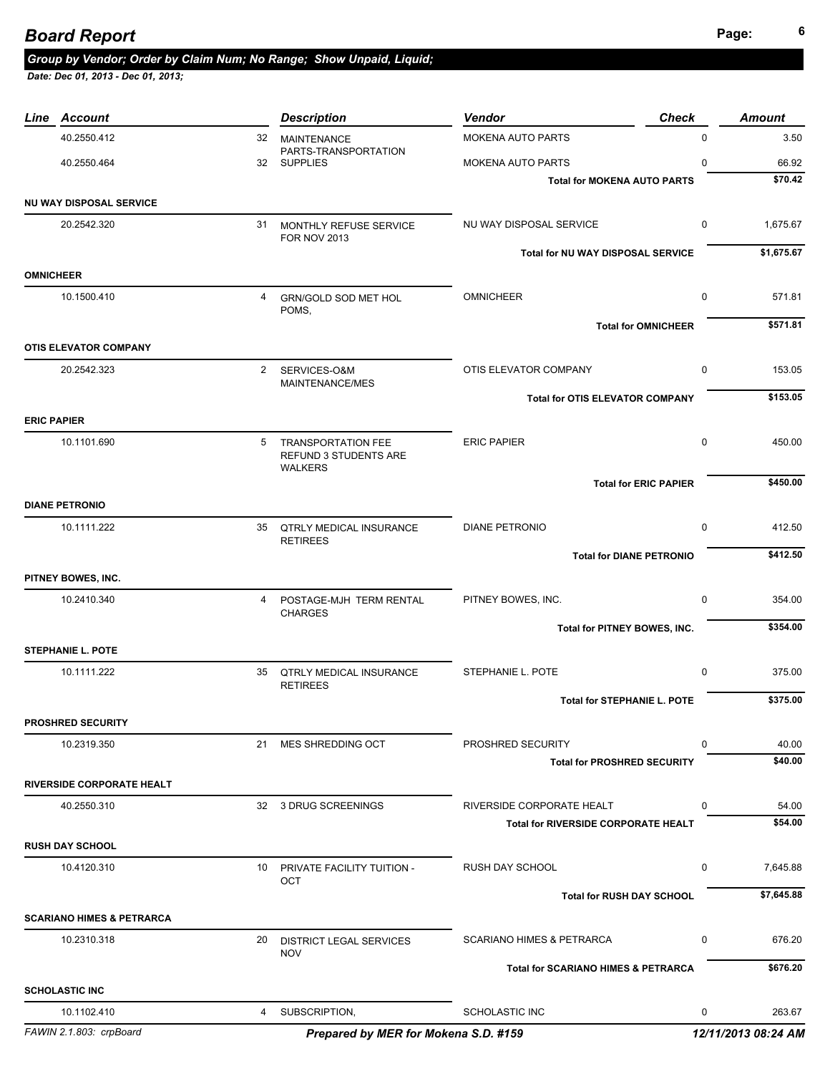# *Group by Vendor; Order by Claim Num; No Range; Show Unpaid, Liquid;*

| Line Account                         |                | <b>Description</b>                                        | <b>Vendor</b>                                  | <b>Check</b> | <b>Amount</b>       |
|--------------------------------------|----------------|-----------------------------------------------------------|------------------------------------------------|--------------|---------------------|
| 40.2550.412                          | 32             | <b>MAINTENANCE</b>                                        | <b>MOKENA AUTO PARTS</b>                       | $\mathbf 0$  | 3.50                |
| 40.2550.464                          |                | PARTS-TRANSPORTATION<br>32 SUPPLIES                       | MOKENA AUTO PARTS                              | $\mathbf 0$  | 66.92               |
|                                      |                |                                                           | <b>Total for MOKENA AUTO PARTS</b>             |              | \$70.42             |
| NU WAY DISPOSAL SERVICE              |                |                                                           |                                                |              |                     |
| 20.2542.320                          |                | 31 MONTHLY REFUSE SERVICE<br><b>FOR NOV 2013</b>          | NU WAY DISPOSAL SERVICE                        | $\mathbf 0$  | 1,675.67            |
|                                      |                |                                                           | Total for NU WAY DISPOSAL SERVICE              |              | \$1,675.67          |
| <b>OMNICHEER</b>                     |                |                                                           |                                                |              |                     |
| 10.1500.410                          | $\overline{4}$ | GRN/GOLD SOD MET HOL<br>POMS,                             | <b>OMNICHEER</b>                               | $\mathbf 0$  | 571.81              |
| <b>OTIS ELEVATOR COMPANY</b>         |                |                                                           | <b>Total for OMNICHEER</b>                     |              | \$571.81            |
| 20.2542.323                          | $2^{\circ}$    |                                                           | OTIS ELEVATOR COMPANY                          | 0            | 153.05              |
|                                      |                | SERVICES-O&M<br>MAINTENANCE/MES                           |                                                |              |                     |
|                                      |                |                                                           | <b>Total for OTIS ELEVATOR COMPANY</b>         |              | \$153.05            |
| <b>ERIC PAPIER</b>                   |                |                                                           |                                                |              |                     |
| 10.1101.690                          | 5              | <b>TRANSPORTATION FEE</b><br><b>REFUND 3 STUDENTS ARE</b> | <b>ERIC PAPIER</b>                             | $\mathbf 0$  | 450.00              |
|                                      |                | <b>WALKERS</b>                                            | <b>Total for ERIC PAPIER</b>                   |              | \$450.00            |
| <b>DIANE PETRONIO</b>                |                |                                                           |                                                |              |                     |
| 10.1111.222                          |                | 35 QTRLY MEDICAL INSURANCE<br><b>RETIREES</b>             | <b>DIANE PETRONIO</b>                          | $\mathbf 0$  | 412.50              |
|                                      |                |                                                           | <b>Total for DIANE PETRONIO</b>                |              | \$412.50            |
| PITNEY BOWES, INC.                   |                |                                                           |                                                |              |                     |
| 10.2410.340                          | 4              | POSTAGE-MJH TERM RENTAL<br><b>CHARGES</b>                 | PITNEY BOWES, INC.                             | $\mathbf 0$  | 354.00              |
|                                      |                |                                                           | Total for PITNEY BOWES, INC.                   |              | \$354.00            |
| <b>STEPHANIE L. POTE</b>             |                |                                                           |                                                |              |                     |
| 10.1111.222                          |                | 35 QTRLY MEDICAL INSURANCE<br><b>RETIREES</b>             | STEPHANIE L. POTE                              | $\mathbf 0$  | 375.00              |
|                                      |                |                                                           | <b>Total for STEPHANIE L. POTE</b>             |              | \$375.00            |
| <b>PROSHRED SECURITY</b>             |                |                                                           |                                                |              |                     |
| 10.2319.350                          | 21             | MES SHREDDING OCT                                         | PROSHRED SECURITY                              | 0            | 40.00               |
|                                      |                |                                                           | <b>Total for PROSHRED SECURITY</b>             |              | \$40.00             |
| <b>RIVERSIDE CORPORATE HEALT</b>     |                |                                                           |                                                |              |                     |
| 40.2550.310                          | 32             | 3 DRUG SCREENINGS                                         | RIVERSIDE CORPORATE HEALT                      | 0            | 54.00               |
|                                      |                |                                                           | <b>Total for RIVERSIDE CORPORATE HEALT</b>     |              | \$54.00             |
| <b>RUSH DAY SCHOOL</b>               |                |                                                           |                                                |              |                     |
| 10.4120.310                          | 10             | PRIVATE FACILITY TUITION -<br>OCT                         | RUSH DAY SCHOOL                                | 0            | 7,645.88            |
|                                      |                |                                                           | <b>Total for RUSH DAY SCHOOL</b>               |              | \$7,645.88          |
| <b>SCARIANO HIMES &amp; PETRARCA</b> |                |                                                           |                                                |              |                     |
| 10.2310.318                          | 20             | <b>DISTRICT LEGAL SERVICES</b><br><b>NOV</b>              | <b>SCARIANO HIMES &amp; PETRARCA</b>           | 0            | 676.20              |
|                                      |                |                                                           | <b>Total for SCARIANO HIMES &amp; PETRARCA</b> |              | \$676.20            |
| <b>SCHOLASTIC INC</b>                |                |                                                           |                                                |              |                     |
| 10.1102.410                          | 4              | SUBSCRIPTION,                                             | <b>SCHOLASTIC INC</b>                          | 0            | 263.67              |
| FAWIN 2.1.803: crpBoard              |                | Prepared by MER for Mokena S.D. #159                      |                                                |              | 12/11/2013 08:24 AM |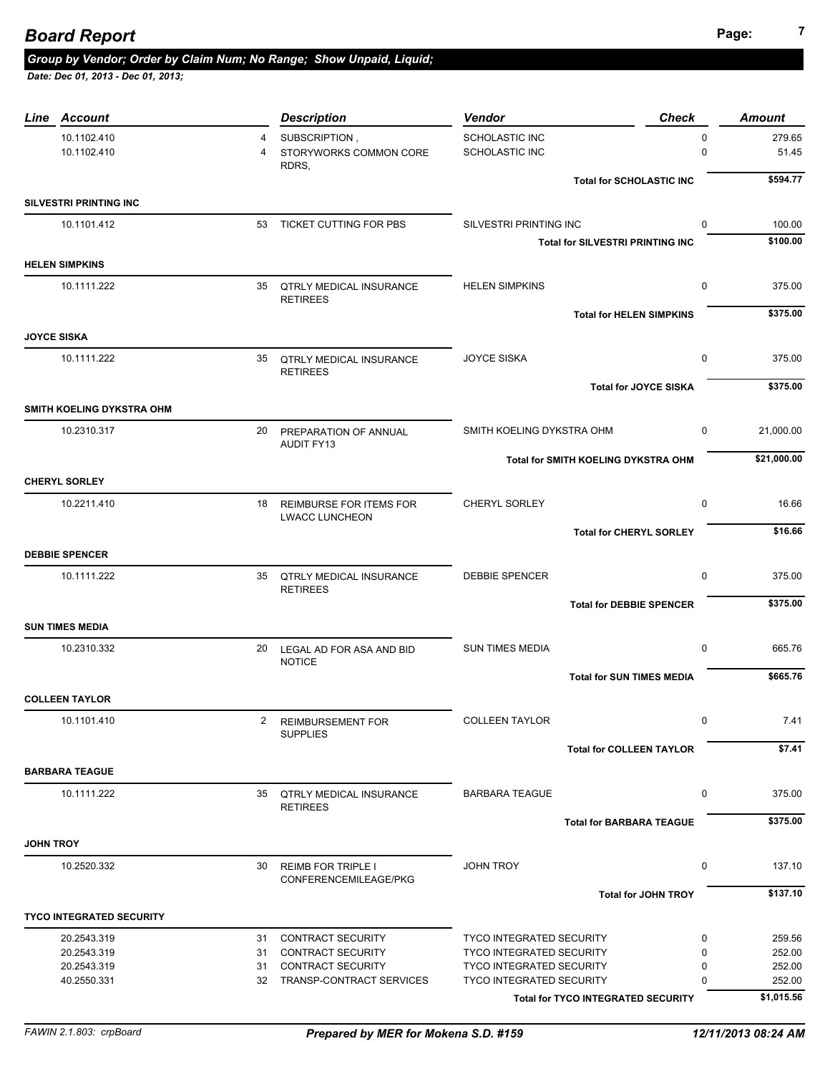# *Group by Vendor; Order by Claim Num; No Range; Show Unpaid, Liquid;*

| Line Account                    |                                  | <b>Description</b>                                      | <b>Check</b><br>Vendor                     |                         | <b>Amount</b>   |
|---------------------------------|----------------------------------|---------------------------------------------------------|--------------------------------------------|-------------------------|-----------------|
| 10.1102.410<br>10.1102.410      | $\overline{4}$<br>$\overline{4}$ | SUBSCRIPTION,<br>STORYWORKS COMMON CORE                 | SCHOLASTIC INC<br><b>SCHOLASTIC INC</b>    | $\mathbf 0$<br>$\Omega$ | 279.65<br>51.45 |
|                                 |                                  | RDRS.                                                   | <b>Total for SCHOLASTIC INC</b>            |                         | \$594.77        |
| <b>SILVESTRI PRINTING INC</b>   |                                  |                                                         |                                            |                         |                 |
| 10.1101.412                     |                                  | 53 TICKET CUTTING FOR PBS                               | SILVESTRI PRINTING INC                     | $\Omega$                | 100.00          |
|                                 |                                  |                                                         | <b>Total for SILVESTRI PRINTING INC</b>    |                         | \$100.00        |
| <b>HELEN SIMPKINS</b>           |                                  |                                                         |                                            |                         |                 |
| 10.1111.222                     |                                  | 35 QTRLY MEDICAL INSURANCE<br><b>RETIREES</b>           | <b>HELEN SIMPKINS</b>                      | 0                       | 375.00          |
| <b>JOYCE SISKA</b>              |                                  |                                                         | <b>Total for HELEN SIMPKINS</b>            |                         | \$375.00        |
|                                 |                                  |                                                         |                                            |                         |                 |
| 10.1111.222                     |                                  | 35 QTRLY MEDICAL INSURANCE<br><b>RETIREES</b>           | <b>JOYCE SISKA</b>                         | 0                       | 375.00          |
|                                 |                                  |                                                         | <b>Total for JOYCE SISKA</b>               |                         | \$375.00        |
| SMITH KOELING DYKSTRA OHM       |                                  |                                                         |                                            |                         |                 |
| 10.2310.317                     |                                  | 20 PREPARATION OF ANNUAL<br><b>AUDIT FY13</b>           | SMITH KOELING DYKSTRA OHM                  | 0                       | 21,000.00       |
|                                 |                                  |                                                         | <b>Total for SMITH KOELING DYKSTRA OHM</b> |                         | \$21,000.00     |
| <b>CHERYL SORLEY</b>            |                                  |                                                         |                                            |                         |                 |
| 10.2211.410                     | 18                               | <b>REIMBURSE FOR ITEMS FOR</b><br><b>LWACC LUNCHEON</b> | <b>CHERYL SORLEY</b>                       | $\mathbf 0$             | 16.66           |
|                                 |                                  |                                                         | <b>Total for CHERYL SORLEY</b>             |                         | \$16.66         |
| <b>DEBBIE SPENCER</b>           |                                  |                                                         |                                            |                         |                 |
| 10.1111.222                     |                                  | 35 QTRLY MEDICAL INSURANCE<br><b>RETIREES</b>           | <b>DEBBIE SPENCER</b>                      | $\mathbf 0$             | 375.00          |
|                                 |                                  |                                                         | <b>Total for DEBBIE SPENCER</b>            |                         | \$375.00        |
| <b>SUN TIMES MEDIA</b>          |                                  |                                                         |                                            |                         |                 |
| 10.2310.332                     | 20                               | LEGAL AD FOR ASA AND BID<br><b>NOTICE</b>               | <b>SUN TIMES MEDIA</b>                     | $\mathbf 0$             | 665.76          |
|                                 |                                  |                                                         | <b>Total for SUN TIMES MEDIA</b>           |                         | \$665.76        |
| <b>COLLEEN TAYLOR</b>           |                                  |                                                         |                                            |                         |                 |
| 10.1101.410                     |                                  | 2 REIMBURSEMENT FOR<br><b>SUPPLIES</b>                  | <b>COLLEEN TAYLOR</b>                      | $\Omega$                | 7.41            |
|                                 |                                  |                                                         | <b>Total for COLLEEN TAYLOR</b>            |                         | \$7.41          |
| <b>BARBARA TEAGUE</b>           |                                  |                                                         |                                            |                         |                 |
| 10.1111.222                     |                                  | 35 QTRLY MEDICAL INSURANCE<br><b>RETIREES</b>           | <b>BARBARA TEAGUE</b>                      | 0                       | 375.00          |
|                                 |                                  |                                                         | <b>Total for BARBARA TEAGUE</b>            |                         | \$375.00        |
| <b>JOHN TROY</b>                |                                  |                                                         |                                            |                         |                 |
| 10.2520.332                     | 30                               | <b>REIMB FOR TRIPLE I</b><br>CONFERENCEMILEAGE/PKG      | <b>JOHN TROY</b>                           | 0                       | 137.10          |
|                                 |                                  |                                                         | <b>Total for JOHN TROY</b>                 |                         | \$137.10        |
| <b>TYCO INTEGRATED SECURITY</b> |                                  |                                                         |                                            |                         |                 |
| 20.2543.319                     | 31                               | CONTRACT SECURITY                                       | <b>TYCO INTEGRATED SECURITY</b>            | 0                       | 259.56          |
| 20.2543.319                     | 31                               | CONTRACT SECURITY                                       | <b>TYCO INTEGRATED SECURITY</b>            | 0                       | 252.00          |
| 20.2543.319                     | 31                               | <b>CONTRACT SECURITY</b>                                | <b>TYCO INTEGRATED SECURITY</b>            | 0                       | 252.00          |
| 40.2550.331                     | 32                               | TRANSP-CONTRACT SERVICES                                | <b>TYCO INTEGRATED SECURITY</b>            | 0                       | 252.00          |
|                                 |                                  |                                                         | Total for TYCO INTEGRATED SECURITY         |                         | \$1,015.56      |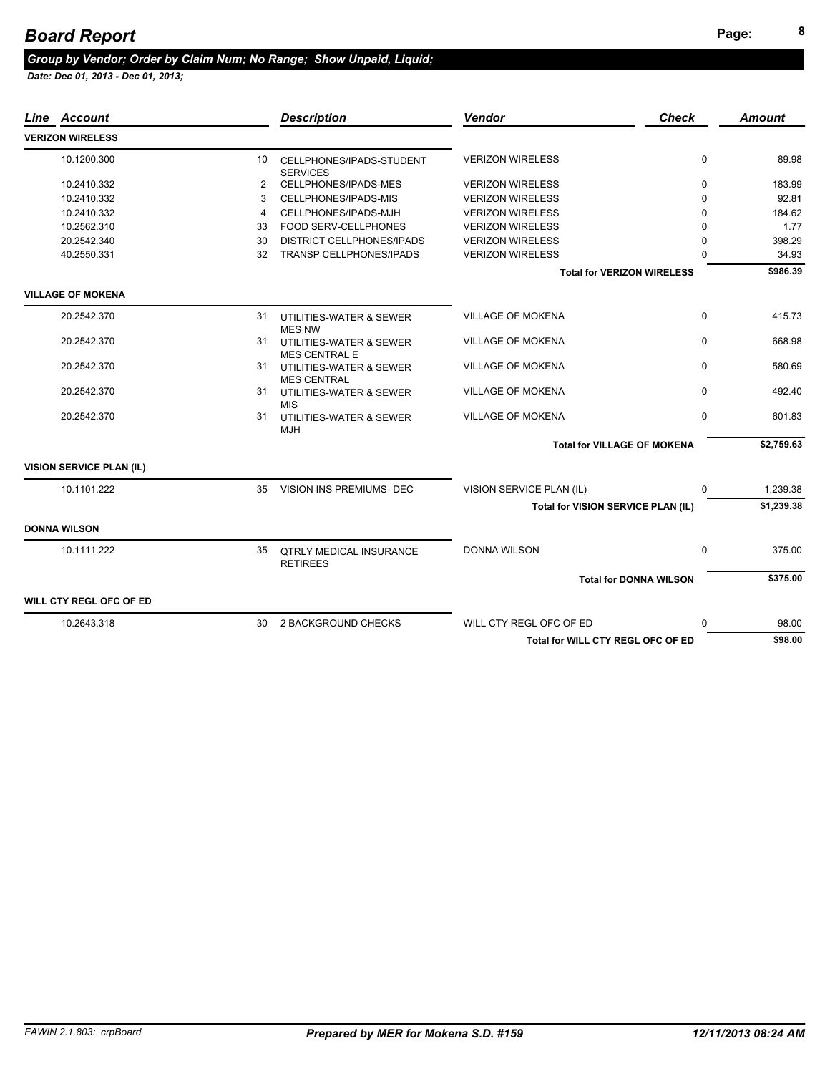# **Page: <sup>8</sup>** *Board Report*

#### *Group by Vendor; Order by Claim Num; No Range; Show Unpaid, Liquid;*

| Line Account                    |    | <b>Description</b>                                | <b>Vendor</b>                      | <b>Check</b>                      | <b>Amount</b> |
|---------------------------------|----|---------------------------------------------------|------------------------------------|-----------------------------------|---------------|
| <b>VERIZON WIRELESS</b>         |    |                                                   |                                    |                                   |               |
| 10.1200.300                     | 10 | CELLPHONES/IPADS-STUDENT<br><b>SERVICES</b>       | <b>VERIZON WIRELESS</b>            | $\mathbf 0$                       | 89.98         |
| 10.2410.332                     | 2  | CELLPHONES/IPADS-MES                              | <b>VERIZON WIRELESS</b>            | $\mathbf 0$                       | 183.99        |
| 10.2410.332                     | 3  | CELLPHONES/IPADS-MIS                              | <b>VERIZON WIRELESS</b>            | $\Omega$                          | 92.81         |
| 10.2410.332                     | 4  | CELLPHONES/IPADS-MJH                              | <b>VERIZON WIRELESS</b>            | 0                                 | 184.62        |
| 10.2562.310                     | 33 | FOOD SERV-CELLPHONES                              | <b>VERIZON WIRELESS</b>            | $\Omega$                          | 1.77          |
| 20.2542.340                     | 30 | <b>DISTRICT CELLPHONES/IPADS</b>                  | <b>VERIZON WIRELESS</b>            | O                                 | 398.29        |
| 40.2550.331                     | 32 | TRANSP CELLPHONES/IPADS                           | <b>VERIZON WIRELESS</b>            | ŋ                                 | 34.93         |
|                                 |    |                                                   |                                    | <b>Total for VERIZON WIRELESS</b> | \$986.39      |
| <b>VILLAGE OF MOKENA</b>        |    |                                                   |                                    |                                   |               |
| 20.2542.370                     | 31 | UTILITIES-WATER & SEWER<br><b>MES NW</b>          | <b>VILLAGE OF MOKENA</b>           | $\Omega$                          | 415.73        |
| 20.2542.370                     | 31 | UTILITIES-WATER & SEWER<br><b>MES CENTRAL E</b>   | <b>VILLAGE OF MOKENA</b>           | $\Omega$                          | 668.98        |
| 20.2542.370                     | 31 | UTILITIES-WATER & SEWER<br><b>MES CENTRAL</b>     | <b>VILLAGE OF MOKENA</b>           | $\Omega$                          | 580.69        |
| 20.2542.370                     | 31 | UTILITIES-WATER & SEWER<br><b>MIS</b>             | <b>VILLAGE OF MOKENA</b>           | $\Omega$                          | 492.40        |
| 20.2542.370                     | 31 | UTILITIES-WATER & SEWER<br><b>MJH</b>             | <b>VILLAGE OF MOKENA</b>           | $\Omega$                          | 601.83        |
|                                 |    |                                                   | <b>Total for VILLAGE OF MOKENA</b> |                                   | \$2,759.63    |
| <b>VISION SERVICE PLAN (IL)</b> |    |                                                   |                                    |                                   |               |
| 10.1101.222                     |    | 35 VISION INS PREMIUMS- DEC                       | VISION SERVICE PLAN (IL)           | $\Omega$                          | 1,239.38      |
|                                 |    |                                                   | Total for VISION SERVICE PLAN (IL) |                                   | \$1,239.38    |
| <b>DONNA WILSON</b>             |    |                                                   |                                    |                                   |               |
| 10.1111.222                     | 35 | <b>QTRLY MEDICAL INSURANCE</b><br><b>RETIREES</b> | <b>DONNA WILSON</b>                | $\Omega$                          | 375.00        |
|                                 |    |                                                   |                                    | <b>Total for DONNA WILSON</b>     | \$375.00      |
| WILL CTY REGL OFC OF ED         |    |                                                   |                                    |                                   |               |
| 10.2643.318                     | 30 | 2 BACKGROUND CHECKS                               | WILL CTY REGL OFC OF ED            | $\Omega$                          | 98.00         |
|                                 |    |                                                   | Total for WILL CTY REGL OFC OF ED  |                                   | \$98.00       |